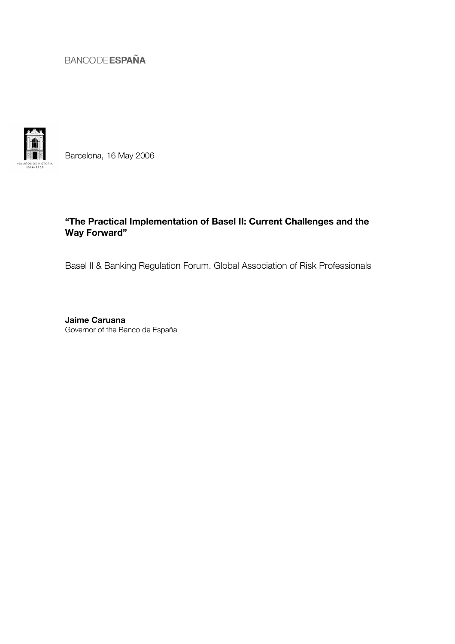

Barcelona, 16 May 2006

### "The Practical Implementation of Basel II: Current Challenges and the Way Forward"

Basel II & Banking Regulation Forum. Global Association of Risk Professionals

Jaime Caruana Governor of the Banco de España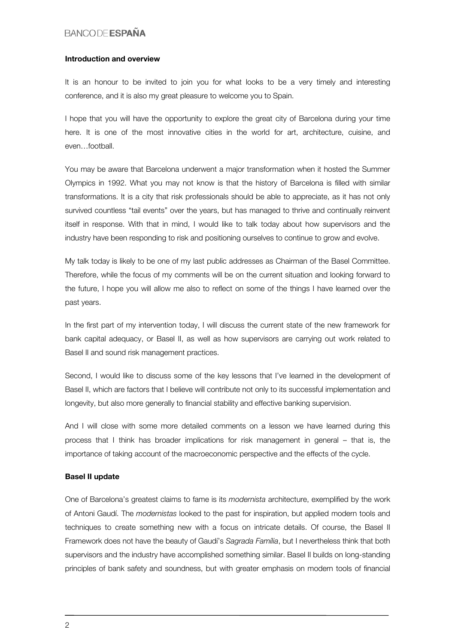### Introduction and overview

It is an honour to be invited to join you for what looks to be a very timely and interesting conference, and it is also my great pleasure to welcome you to Spain.

I hope that you will have the opportunity to explore the great city of Barcelona during your time here. It is one of the most innovative cities in the world for art, architecture, cuisine, and even…football.

You may be aware that Barcelona underwent a major transformation when it hosted the Summer Olympics in 1992. What you may not know is that the history of Barcelona is filled with similar transformations. It is a city that risk professionals should be able to appreciate, as it has not only survived countless "tail events" over the years, but has managed to thrive and continually reinvent itself in response. With that in mind, I would like to talk today about how supervisors and the industry have been responding to risk and positioning ourselves to continue to grow and evolve.

My talk today is likely to be one of my last public addresses as Chairman of the Basel Committee. Therefore, while the focus of my comments will be on the current situation and looking forward to the future, I hope you will allow me also to reflect on some of the things I have learned over the past years.

In the first part of my intervention today, I will discuss the current state of the new framework for bank capital adequacy, or Basel II, as well as how supervisors are carrying out work related to Basel II and sound risk management practices.

Second, I would like to discuss some of the key lessons that I've learned in the development of Basel II, which are factors that I believe will contribute not only to its successful implementation and longevity, but also more generally to financial stability and effective banking supervision.

And I will close with some more detailed comments on a lesson we have learned during this process that I think has broader implications for risk management in general – that is, the importance of taking account of the macroeconomic perspective and the effects of the cycle.

### Basel II update

One of Barcelona's greatest claims to fame is its *modernista* architecture, exemplified by the work of Antoni Gaudí. The *modernistas* looked to the past for inspiration, but applied modern tools and techniques to create something new with a focus on intricate details. Of course, the Basel II Framework does not have the beauty of Gaudí's *Sagrada Família*, but I nevertheless think that both supervisors and the industry have accomplished something similar. Basel II builds on long-standing principles of bank safety and soundness, but with greater emphasis on modern tools of financial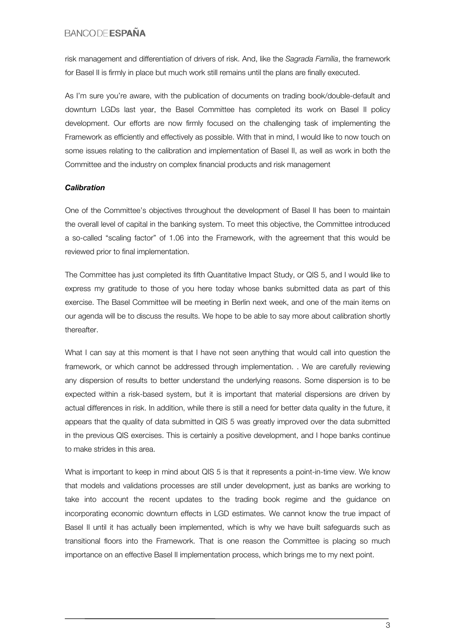risk management and differentiation of drivers of risk. And, like the *Sagrada Família*, the framework for Basel II is firmly in place but much work still remains until the plans are finally executed.

As I'm sure you're aware, with the publication of documents on trading book/double-default and downturn LGDs last year, the Basel Committee has completed its work on Basel II policy development. Our efforts are now firmly focused on the challenging task of implementing the Framework as efficiently and effectively as possible. With that in mind, I would like to now touch on some issues relating to the calibration and implementation of Basel II, as well as work in both the Committee and the industry on complex financial products and risk management

### *Calibration*

One of the Committee's objectives throughout the development of Basel II has been to maintain the overall level of capital in the banking system. To meet this objective, the Committee introduced a so-called "scaling factor" of 1.06 into the Framework, with the agreement that this would be reviewed prior to final implementation.

The Committee has just completed its fifth Quantitative Impact Study, or QIS 5, and I would like to express my gratitude to those of you here today whose banks submitted data as part of this exercise. The Basel Committee will be meeting in Berlin next week, and one of the main items on our agenda will be to discuss the results. We hope to be able to say more about calibration shortly thereafter.

What I can say at this moment is that I have not seen anything that would call into question the framework, or which cannot be addressed through implementation. . We are carefully reviewing any dispersion of results to better understand the underlying reasons. Some dispersion is to be expected within a risk-based system, but it is important that material dispersions are driven by actual differences in risk. In addition, while there is still a need for better data quality in the future, it appears that the quality of data submitted in QIS 5 was greatly improved over the data submitted in the previous QIS exercises. This is certainly a positive development, and I hope banks continue to make strides in this area.

What is important to keep in mind about QIS 5 is that it represents a point-in-time view. We know that models and validations processes are still under development, just as banks are working to take into account the recent updates to the trading book regime and the guidance on incorporating economic downturn effects in LGD estimates. We cannot know the true impact of Basel II until it has actually been implemented, which is why we have built safeguards such as transitional floors into the Framework. That is one reason the Committee is placing so much importance on an effective Basel II implementation process, which brings me to my next point.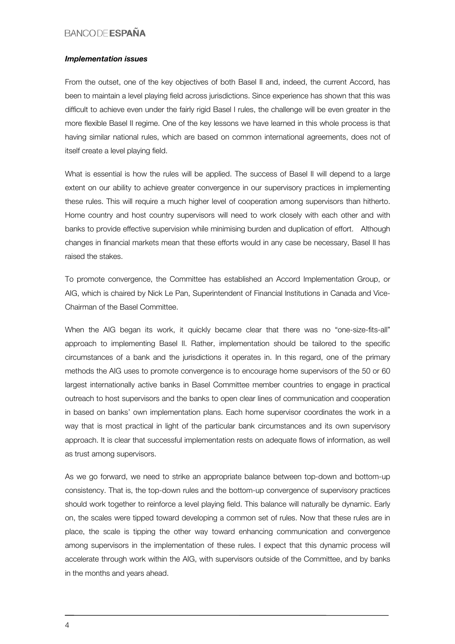### *Implementation issues*

From the outset, one of the key objectives of both Basel II and, indeed, the current Accord, has been to maintain a level playing field across jurisdictions. Since experience has shown that this was difficult to achieve even under the fairly rigid Basel I rules, the challenge will be even greater in the more flexible Basel II regime. One of the key lessons we have learned in this whole process is that having similar national rules, which are based on common international agreements, does not of itself create a level playing field.

What is essential is how the rules will be applied. The success of Basel II will depend to a large extent on our ability to achieve greater convergence in our supervisory practices in implementing these rules. This will require a much higher level of cooperation among supervisors than hitherto. Home country and host country supervisors will need to work closely with each other and with banks to provide effective supervision while minimising burden and duplication of effort. Although changes in financial markets mean that these efforts would in any case be necessary, Basel II has raised the stakes.

To promote convergence, the Committee has established an Accord Implementation Group, or AIG, which is chaired by Nick Le Pan, Superintendent of Financial Institutions in Canada and Vice-Chairman of the Basel Committee.

When the AIG began its work, it quickly became clear that there was no "one-size-fits-all" approach to implementing Basel II. Rather, implementation should be tailored to the specific circumstances of a bank and the jurisdictions it operates in. In this regard, one of the primary methods the AIG uses to promote convergence is to encourage home supervisors of the 50 or 60 largest internationally active banks in Basel Committee member countries to engage in practical outreach to host supervisors and the banks to open clear lines of communication and cooperation in based on banks' own implementation plans. Each home supervisor coordinates the work in a way that is most practical in light of the particular bank circumstances and its own supervisory approach. It is clear that successful implementation rests on adequate flows of information, as well as trust among supervisors.

As we go forward, we need to strike an appropriate balance between top-down and bottom-up consistency. That is, the top-down rules and the bottom-up convergence of supervisory practices should work together to reinforce a level playing field. This balance will naturally be dynamic. Early on, the scales were tipped toward developing a common set of rules. Now that these rules are in place, the scale is tipping the other way toward enhancing communication and convergence among supervisors in the implementation of these rules. I expect that this dynamic process will accelerate through work within the AIG, with supervisors outside of the Committee, and by banks in the months and years ahead.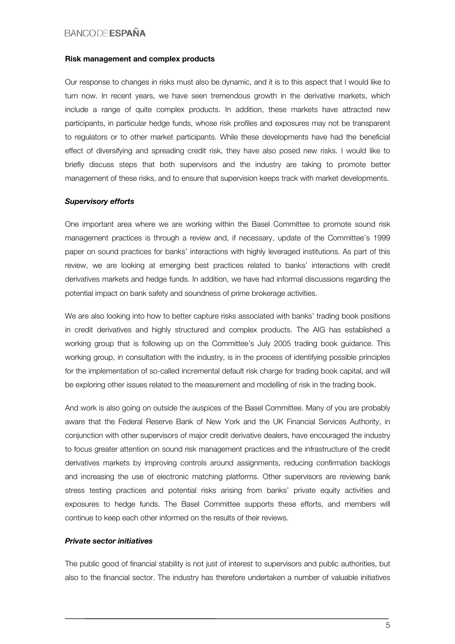#### Risk management and complex products

Our response to changes in risks must also be dynamic, and it is to this aspect that I would like to turn now. In recent years, we have seen tremendous growth in the derivative markets, which include a range of quite complex products. In addition, these markets have attracted new participants, in particular hedge funds, whose risk profiles and exposures may not be transparent to regulators or to other market participants. While these developments have had the beneficial effect of diversifying and spreading credit risk, they have also posed new risks. I would like to briefly discuss steps that both supervisors and the industry are taking to promote better management of these risks, and to ensure that supervision keeps track with market developments.

#### *Supervisory efforts*

One important area where we are working within the Basel Committee to promote sound risk management practices is through a review and, if necessary, update of the Committee's 1999 paper on sound practices for banks' interactions with highly leveraged institutions. As part of this review, we are looking at emerging best practices related to banks' interactions with credit derivatives markets and hedge funds. In addition, we have had informal discussions regarding the potential impact on bank safety and soundness of prime brokerage activities.

We are also looking into how to better capture risks associated with banks' trading book positions in credit derivatives and highly structured and complex products. The AIG has established a working group that is following up on the Committee's July 2005 trading book guidance. This working group, in consultation with the industry, is in the process of identifying possible principles for the implementation of so-called incremental default risk charge for trading book capital, and will be exploring other issues related to the measurement and modelling of risk in the trading book.

And work is also going on outside the auspices of the Basel Committee. Many of you are probably aware that the Federal Reserve Bank of New York and the UK Financial Services Authority, in conjunction with other supervisors of major credit derivative dealers, have encouraged the industry to focus greater attention on sound risk management practices and the infrastructure of the credit derivatives markets by improving controls around assignments, reducing confirmation backlogs and increasing the use of electronic matching platforms. Other supervisors are reviewing bank stress testing practices and potential risks arising from banks' private equity activities and exposures to hedge funds. The Basel Committee supports these efforts, and members will continue to keep each other informed on the results of their reviews.

### *Private sector initiatives*

The public good of financial stability is not just of interest to supervisors and public authorities, but also to the financial sector. The industry has therefore undertaken a number of valuable initiatives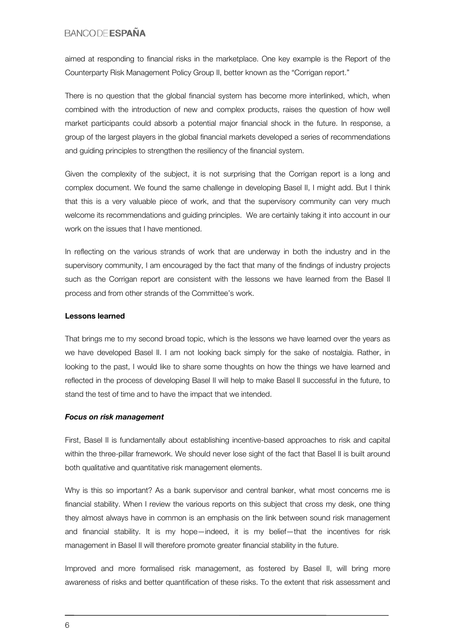aimed at responding to financial risks in the marketplace. One key example is the Report of the Counterparty Risk Management Policy Group II, better known as the "Corrigan report."

There is no question that the global financial system has become more interlinked, which, when combined with the introduction of new and complex products, raises the question of how well market participants could absorb a potential major financial shock in the future. In response, a group of the largest players in the global financial markets developed a series of recommendations and guiding principles to strengthen the resiliency of the financial system.

Given the complexity of the subject, it is not surprising that the Corrigan report is a long and complex document. We found the same challenge in developing Basel II, I might add. But I think that this is a very valuable piece of work, and that the supervisory community can very much welcome its recommendations and guiding principles. We are certainly taking it into account in our work on the issues that I have mentioned.

In reflecting on the various strands of work that are underway in both the industry and in the supervisory community, I am encouraged by the fact that many of the findings of industry projects such as the Corrigan report are consistent with the lessons we have learned from the Basel II process and from other strands of the Committee's work.

### Lessons learned

That brings me to my second broad topic, which is the lessons we have learned over the years as we have developed Basel II. I am not looking back simply for the sake of nostalgia. Rather, in looking to the past, I would like to share some thoughts on how the things we have learned and reflected in the process of developing Basel II will help to make Basel II successful in the future, to stand the test of time and to have the impact that we intended.

### *Focus on risk management*

First, Basel II is fundamentally about establishing incentive-based approaches to risk and capital within the three-pillar framework. We should never lose sight of the fact that Basel II is built around both qualitative and quantitative risk management elements.

Why is this so important? As a bank supervisor and central banker, what most concerns me is financial stability. When I review the various reports on this subject that cross my desk, one thing they almost always have in common is an emphasis on the link between sound risk management and financial stability. It is my hope—indeed, it is my belief—that the incentives for risk management in Basel II will therefore promote greater financial stability in the future.

Improved and more formalised risk management, as fostered by Basel II, will bring more awareness of risks and better quantification of these risks. To the extent that risk assessment and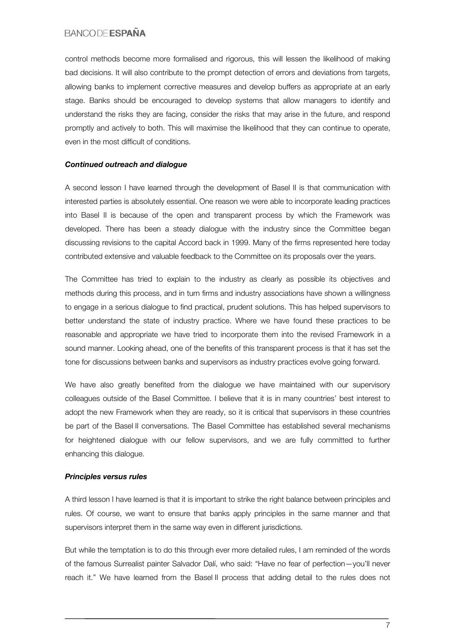control methods become more formalised and rigorous, this will lessen the likelihood of making bad decisions. It will also contribute to the prompt detection of errors and deviations from targets, allowing banks to implement corrective measures and develop buffers as appropriate at an early stage. Banks should be encouraged to develop systems that allow managers to identify and understand the risks they are facing, consider the risks that may arise in the future, and respond promptly and actively to both. This will maximise the likelihood that they can continue to operate, even in the most difficult of conditions.

### *Continued outreach and dialogue*

A second lesson I have learned through the development of Basel II is that communication with interested parties is absolutely essential. One reason we were able to incorporate leading practices into Basel II is because of the open and transparent process by which the Framework was developed. There has been a steady dialogue with the industry since the Committee began discussing revisions to the capital Accord back in 1999. Many of the firms represented here today contributed extensive and valuable feedback to the Committee on its proposals over the years.

The Committee has tried to explain to the industry as clearly as possible its objectives and methods during this process, and in turn firms and industry associations have shown a willingness to engage in a serious dialogue to find practical, prudent solutions. This has helped supervisors to better understand the state of industry practice. Where we have found these practices to be reasonable and appropriate we have tried to incorporate them into the revised Framework in a sound manner. Looking ahead, one of the benefits of this transparent process is that it has set the tone for discussions between banks and supervisors as industry practices evolve going forward.

We have also greatly benefited from the dialogue we have maintained with our supervisory colleagues outside of the Basel Committee. I believe that it is in many countries' best interest to adopt the new Framework when they are ready, so it is critical that supervisors in these countries be part of the Basel II conversations. The Basel Committee has established several mechanisms for heightened dialogue with our fellow supervisors, and we are fully committed to further enhancing this dialogue.

### *Principles versus rules*

A third lesson I have learned is that it is important to strike the right balance between principles and rules. Of course, we want to ensure that banks apply principles in the same manner and that supervisors interpret them in the same way even in different jurisdictions.

But while the temptation is to do this through ever more detailed rules, I am reminded of the words of the famous Surrealist painter Salvador Dalí, who said: "Have no fear of perfection—you'll never reach it." We have learned from the Basel II process that adding detail to the rules does not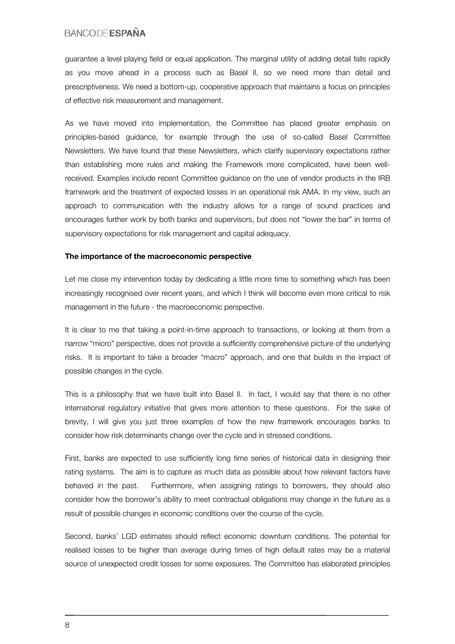guarantee a level playing field or equal application. The marginal utility of adding detail falls rapidly as you move ahead in a process such as Basel II, so we need more than detail and prescriptiveness. We need a bottom-up, cooperative approach that maintains a focus on principles of effective risk measurement and management.

As we have moved into implementation, the Committee has placed greater emphasis on principles-based guidance, for example through the use of so-called Basel Committee Newsletters. We have found that these Newsletters, which clarify supervisory expectations rather than establishing more rules and making the Framework more complicated, have been wellreceived. Examples include recent Committee guidance on the use of vendor products in the IRB framework and the treatment of expected losses in an operational risk AMA. In my view, such an approach to communication with the industry allows for a range of sound practices and encourages further work by both banks and supervisors, but does not "lower the bar" in terms of supervisory expectations for risk management and capital adequacy.

#### The importance of the macroeconomic perspective

Let me close my intervention today by dedicating a little more time to something which has been increasingly recognised over recent years, and which I think will become even more critical to risk management in the future - the macroeconomic perspective.

It is clear to me that taking a point-in-time approach to transactions, or looking at them from a narrow "micro" perspective, does not provide a sufficiently comprehensive picture of the underlying risks. It is important to take a broader "macro" approach, and one that builds in the impact of possible changes in the cycle.

This is a philosophy that we have built into Basel II. In fact, I would say that there is no other international regulatory initiative that gives more attention to these questions. For the sake of brevity, I will give you just three examples of how the new framework encourages banks to consider how risk determinants change over the cycle and in stressed conditions.

First, banks are expected to use sufficiently long time series of historical data in designing their rating systems. The aim is to capture as much data as possible about how relevant factors have behaved in the past. Furthermore, when assigning ratings to borrowers, they should also consider how the borrower's ability to meet contractual obligations may change in the future as a result of possible changes in economic conditions over the course of the cycle.

Second, banks' LGD estimates should reflect economic downturn conditions. The potential for realised losses to be higher than average during times of high default rates may be a material source of unexpected credit losses for some exposures. The Committee has elaborated principles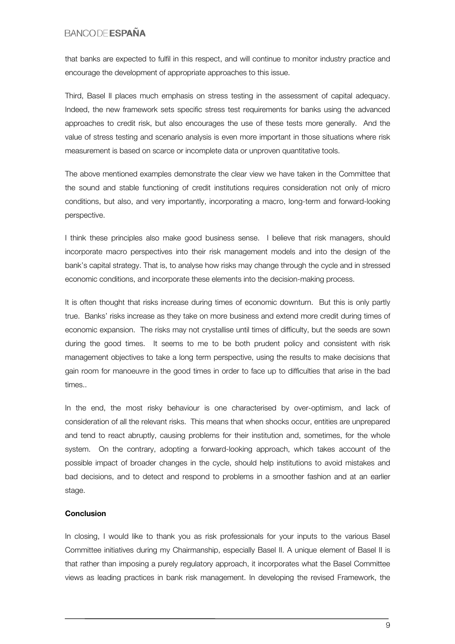that banks are expected to fulfil in this respect, and will continue to monitor industry practice and encourage the development of appropriate approaches to this issue.

Third, Basel II places much emphasis on stress testing in the assessment of capital adequacy. Indeed, the new framework sets specific stress test requirements for banks using the advanced approaches to credit risk, but also encourages the use of these tests more generally. And the value of stress testing and scenario analysis is even more important in those situations where risk measurement is based on scarce or incomplete data or unproven quantitative tools.

The above mentioned examples demonstrate the clear view we have taken in the Committee that the sound and stable functioning of credit institutions requires consideration not only of micro conditions, but also, and very importantly, incorporating a macro, long-term and forward-looking perspective.

I think these principles also make good business sense. I believe that risk managers, should incorporate macro perspectives into their risk management models and into the design of the bank's capital strategy. That is, to analyse how risks may change through the cycle and in stressed economic conditions, and incorporate these elements into the decision-making process.

It is often thought that risks increase during times of economic downturn. But this is only partly true. Banks' risks increase as they take on more business and extend more credit during times of economic expansion. The risks may not crystallise until times of difficulty, but the seeds are sown during the good times. It seems to me to be both prudent policy and consistent with risk management objectives to take a long term perspective, using the results to make decisions that gain room for manoeuvre in the good times in order to face up to difficulties that arise in the bad times..

In the end, the most risky behaviour is one characterised by over-optimism, and lack of consideration of all the relevant risks. This means that when shocks occur, entities are unprepared and tend to react abruptly, causing problems for their institution and, sometimes, for the whole system. On the contrary, adopting a forward-looking approach, which takes account of the possible impact of broader changes in the cycle, should help institutions to avoid mistakes and bad decisions, and to detect and respond to problems in a smoother fashion and at an earlier stage.

#### Conclusion

In closing, I would like to thank you as risk professionals for your inputs to the various Basel Committee initiatives during my Chairmanship, especially Basel II. A unique element of Basel II is that rather than imposing a purely regulatory approach, it incorporates what the Basel Committee views as leading practices in bank risk management. In developing the revised Framework, the